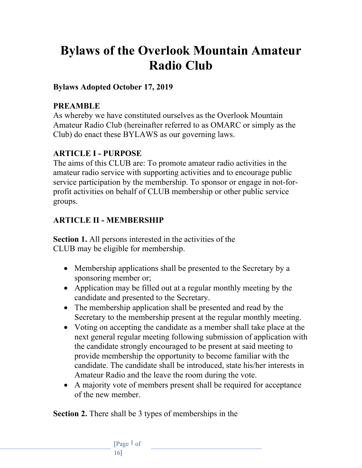# **Bylaws of the Overlook Mountain Amateur Radio Club**

#### **Bylaws Adopted October 17, 2019**

#### **PREAMBLE**

As whereby we have constituted ourselves as the Overlook Mountain Amateur Radio Club (hereinafter referred to as OMARC or simply as the Club) do enact these BYLAWS as our governing laws.

### **ARTICLE I - PURPOSE**

The aims of this CLUB are: To promote amateur radio activities in the amateur radio service with supporting activities and to encourage public service participation by the membership. To sponsor or engage in not-forprofit activities on behalf of CLUB membership or other public service groups.

# **ARTICLE II - MEMBERSHIP**

**Section 1.** All persons interested in the activities of the CLUB may be eligible for membership.

- Membership applications shall be presented to the Secretary by a sponsoring member or;
- Application may be filled out at a regular monthly meeting by the candidate and presented to the Secretary.
- The membership application shall be presented and read by the Secretary to the membership present at the regular monthly meeting.
- Voting on accepting the candidate as a member shall take place at the next general regular meeting following submission of application with the candidate strongly encouraged to be present at said meeting to provide membership the opportunity to become familiar with the candidate. The candidate shall be introduced, state his/her interests in Amateur Radio and the leave the room during the vote.
- A majority vote of members present shall be required for acceptance of the new member.

**Section 2.** There shall be 3 types of memberships in the

[Page 1 of 16]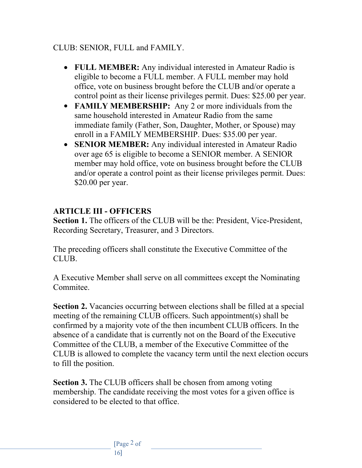#### CLUB: SENIOR, FULL and FAMILY.

- **FULL MEMBER:** Any individual interested in Amateur Radio is eligible to become a FULL member. A FULL member may hold office, vote on business brought before the CLUB and/or operate a control point as their license privileges permit. Dues: \$25.00 per year.
- **FAMILY MEMBERSHIP:** Any 2 or more individuals from the same household interested in Amateur Radio from the same immediate family (Father, Son, Daughter, Mother, or Spouse) may enroll in a FAMILY MEMBERSHIP. Dues: \$35.00 per year.
- **SENIOR MEMBER:** Any individual interested in Amateur Radio over age 65 is eligible to become a SENIOR member. A SENIOR member may hold office, vote on business brought before the CLUB and/or operate a control point as their license privileges permit. Dues: \$20.00 per year.

### **ARTICLE III - OFFICERS**

**Section 1.** The officers of the CLUB will be the: President, Vice-President, Recording Secretary, Treasurer, and 3 Directors.

The preceding officers shall constitute the Executive Committee of the CLUB.

A Executive Member shall serve on all committees except the Nominating Commitee.

**Section 2.** Vacancies occurring between elections shall be filled at a special meeting of the remaining CLUB officers. Such appointment(s) shall be confirmed by a majority vote of the then incumbent CLUB officers. In the absence of a candidate that is currently not on the Board of the Executive Committee of the CLUB, a member of the Executive Committee of the CLUB is allowed to complete the vacancy term until the next election occurs to fill the position.

**Section 3.** The CLUB officers shall be chosen from among voting membership. The candidate receiving the most votes for a given office is considered to be elected to that office.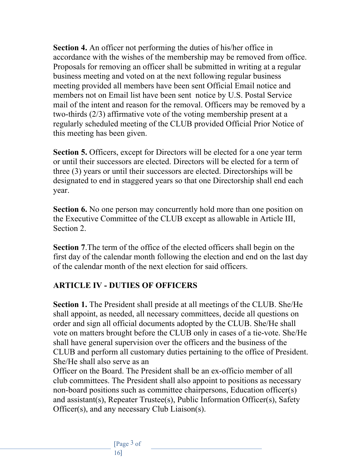**Section 4.** An officer not performing the duties of his/her office in accordance with the wishes of the membership may be removed from office. Proposals for removing an officer shall be submitted in writing at a regular business meeting and voted on at the next following regular business meeting provided all members have been sent Official Email notice and members not on Email list have been sent notice by U.S. Postal Service mail of the intent and reason for the removal. Officers may be removed by a two-thirds (2/3) affirmative vote of the voting membership present at a regularly scheduled meeting of the CLUB provided Official Prior Notice of this meeting has been given.

**Section 5.** Officers, except for Directors will be elected for a one year term or until their successors are elected. Directors will be elected for a term of three (3) years or until their successors are elected. Directorships will be designated to end in staggered years so that one Directorship shall end each year.

**Section 6.** No one person may concurrently hold more than one position on the Executive Committee of the CLUB except as allowable in Article III, Section 2.

**Section 7**.The term of the office of the elected officers shall begin on the first day of the calendar month following the election and end on the last day of the calendar month of the next election for said officers.

### **ARTICLE IV - DUTIES OF OFFICERS**

**Section 1.** The President shall preside at all meetings of the CLUB. She/He shall appoint, as needed, all necessary committees, decide all questions on order and sign all official documents adopted by the CLUB. She/He shall vote on matters brought before the CLUB only in cases of a tie-vote. She/He shall have general supervision over the officers and the business of the CLUB and perform all customary duties pertaining to the office of President. She/He shall also serve as an

Officer on the Board. The President shall be an ex-officio member of all club committees. The President shall also appoint to positions as necessary non-board positions such as committee chairpersons, Education officer(s) and assistant(s), Repeater Trustee(s), Public Information Officer(s), Safety Officer(s), and any necessary Club Liaison(s).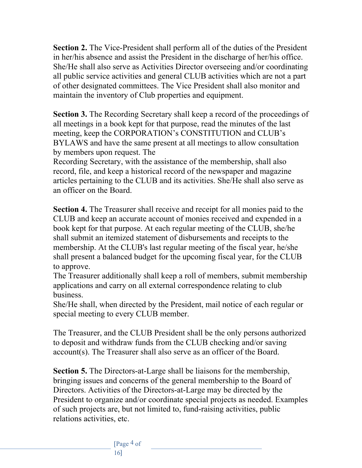**Section 2.** The Vice-President shall perform all of the duties of the President in her/his absence and assist the President in the discharge of her/his office. She/He shall also serve as Activities Director overseeing and/or coordinating all public service activities and general CLUB activities which are not a part of other designated committees. The Vice President shall also monitor and maintain the inventory of Club properties and equipment.

**Section 3.** The Recording Secretary shall keep a record of the proceedings of all meetings in a book kept for that purpose, read the minutes of the last meeting, keep the CORPORATION's CONSTITUTION and CLUB's BYLAWS and have the same present at all meetings to allow consultation by members upon request. The

Recording Secretary, with the assistance of the membership, shall also record, file, and keep a historical record of the newspaper and magazine articles pertaining to the CLUB and its activities. She/He shall also serve as an officer on the Board.

**Section 4.** The Treasurer shall receive and receipt for all monies paid to the CLUB and keep an accurate account of monies received and expended in a book kept for that purpose. At each regular meeting of the CLUB, she/he shall submit an itemized statement of disbursements and receipts to the membership. At the CLUB's last regular meeting of the fiscal year, he/she shall present a balanced budget for the upcoming fiscal year, for the CLUB to approve.

The Treasurer additionally shall keep a roll of members, submit membership applications and carry on all external correspondence relating to club business.

She/He shall, when directed by the President, mail notice of each regular or special meeting to every CLUB member.

The Treasurer, and the CLUB President shall be the only persons authorized to deposit and withdraw funds from the CLUB checking and/or saving account(s). The Treasurer shall also serve as an officer of the Board.

**Section 5.** The Directors-at-Large shall be liaisons for the membership, bringing issues and concerns of the general membership to the Board of Directors. Activities of the Directors-at-Large may be directed by the President to organize and/or coordinate special projects as needed. Examples of such projects are, but not limited to, fund-raising activities, public relations activities, etc.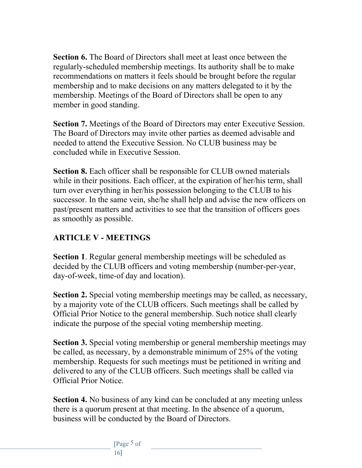**Section 6.** The Board of Directors shall meet at least once between the regularly-scheduled membership meetings. Its authority shall be to make recommendations on matters it feels should be brought before the regular membership and to make decisions on any matters delegated to it by the membership. Meetings of the Board of Directors shall be open to any member in good standing.

**Section 7.** Meetings of the Board of Directors may enter Executive Session. The Board of Directors may invite other parties as deemed advisable and needed to attend the Executive Session. No CLUB business may be concluded while in Executive Session.

**Section 8.** Each officer shall be responsible for CLUB owned materials while in their positions. Each officer, at the expiration of her/his term, shall turn over everything in her/his possession belonging to the CLUB to his successor. In the same vein, she/he shall help and advise the new officers on past/present matters and activities to see that the transition of officers goes as smoothly as possible.

## **ARTICLE V - MEETINGS**

**Section 1**. Regular general membership meetings will be scheduled as decided by the CLUB officers and voting membership (number-per-year, day-of-week, time-of day and location).

**Section 2.** Special voting membership meetings may be called, as necessary, by a majority vote of the CLUB officers. Such meetings shall be called by Official Prior Notice to the general membership. Such notice shall clearly indicate the purpose of the special voting membership meeting.

**Section 3.** Special voting membership or general membership meetings may be called, as necessary, by a demonstrable minimum of 25% of the voting membership. Requests for such meetings must be petitioned in writing and delivered to any of the CLUB officers. Such meetings shall be called via Official Prior Notice.

**Section 4.** No business of any kind can be concluded at any meeting unless there is a quorum present at that meeting. In the absence of a quorum, business will be conducted by the Board of Directors.

> [Page 5 of 16]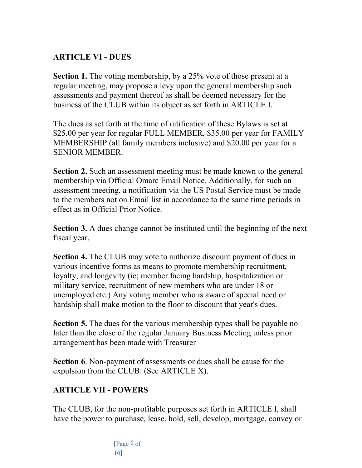## **ARTICLE VI - DUES**

**Section 1.** The voting membership, by a 25% vote of those present at a regular meeting, may propose a levy upon the general membership such assessments and payment thereof as shall be deemed necessary for the business of the CLUB within its object as set forth in ARTICLE I.

The dues as set forth at the time of ratification of these Bylaws is set at \$25.00 per year for regular FULL MEMBER, \$35.00 per year for FAMILY MEMBERSHIP (all family members inclusive) and \$20.00 per year for a SENIOR MEMBER.

**Section 2.** Such an assessment meeting must be made known to the general membership via Official Omarc Email Notice. Additionally, for such an assessment meeting, a notification via the US Postal Service must be made to the members not on Email list in accordance to the same time periods in effect as in Official Prior Notice.

**Section 3.** A dues change cannot be instituted until the beginning of the next fiscal year.

**Section 4.** The CLUB may vote to authorize discount payment of dues in various incentive forms as means to promote membership recruitment, loyalty, and longevity (ie; member facing hardship, hospitalization or military service, recruitment of new members who are under 18 or unemployed etc.) Any voting member who is aware of special need or hardship shall make motion to the floor to discount that year's dues.

**Section 5.** The dues for the various membership types shall be payable no later than the close of the regular January Business Meeting unless prior arrangement has been made with Treasurer

**Section 6**. Non-payment of assessments or dues shall be cause for the expulsion from the CLUB. (See ARTICLE X).

# **ARTICLE VII - POWERS**

The CLUB, for the non-profitable purposes set forth in ARTICLE I, shall have the power to purchase, lease, hold, sell, develop, mortgage, convey or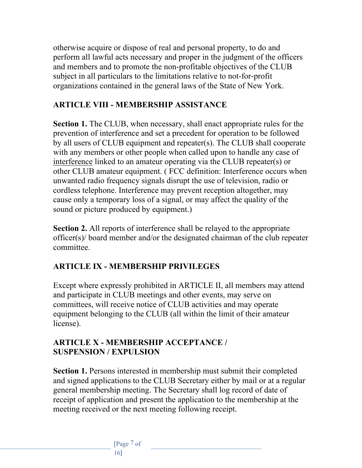otherwise acquire or dispose of real and personal property, to do and perform all lawful acts necessary and proper in the judgment of the officers and members and to promote the non-profitable objectives of the CLUB subject in all particulars to the limitations relative to not-for-profit organizations contained in the general laws of the State of New York.

## **ARTICLE VIII - MEMBERSHIP ASSISTANCE**

**Section 1.** The CLUB, when necessary, shall enact appropriate rules for the prevention of interference and set a precedent for operation to be followed by all users of CLUB equipment and repeater(s). The CLUB shall cooperate with any members or other people when called upon to handle any case of interference linked to an amateur operating via the CLUB repeater(s) or other CLUB amateur equipment. ( FCC definition: Interference occurs when unwanted radio frequency signals disrupt the use of television, radio or cordless telephone. Interference may prevent reception altogether, may cause only a temporary loss of a signal, or may affect the quality of the sound or picture produced by equipment.)

**Section 2.** All reports of interference shall be relayed to the appropriate officer(s)/ board member and/or the designated chairman of the club repeater committee.

# **ARTICLE IX - MEMBERSHIP PRIVILEGES**

Except where expressly prohibited in ARTICLE II, all members may attend and participate in CLUB meetings and other events, may serve on committees, will receive notice of CLUB activities and may operate equipment belonging to the CLUB (all within the limit of their amateur license).

#### **ARTICLE X - MEMBERSHIP ACCEPTANCE / SUSPENSION / EXPULSION**

**Section 1.** Persons interested in membership must submit their completed and signed applications to the CLUB Secretary either by mail or at a regular general membership meeting. The Secretary shall log record of date of receipt of application and present the application to the membership at the meeting received or the next meeting following receipt.

> [Page 7 of 16]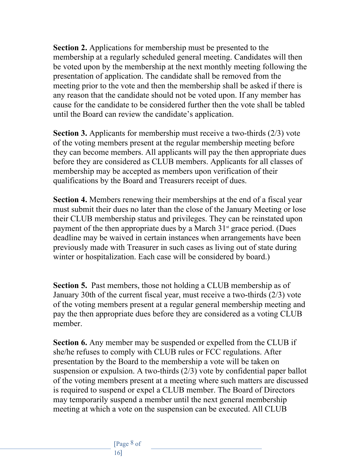**Section 2.** Applications for membership must be presented to the membership at a regularly scheduled general meeting. Candidates will then be voted upon by the membership at the next monthly meeting following the presentation of application. The candidate shall be removed from the meeting prior to the vote and then the membership shall be asked if there is any reason that the candidate should not be voted upon. If any member has cause for the candidate to be considered further then the vote shall be tabled until the Board can review the candidate's application.

**Section 3.** Applicants for membership must receive a two-thirds (2/3) vote of the voting members present at the regular membership meeting before they can become members. All applicants will pay the then appropriate dues before they are considered as CLUB members. Applicants for all classes of membership may be accepted as members upon verification of their qualifications by the Board and Treasurers receipt of dues.

**Section 4.** Members renewing their memberships at the end of a fiscal year must submit their dues no later than the close of the January Meeting or lose their CLUB membership status and privileges. They can be reinstated upon payment of the then appropriate dues by a March  $31<sup>st</sup>$  grace period. (Dues deadline may be waived in certain instances when arrangements have been previously made with Treasurer in such cases as living out of state during winter or hospitalization. Each case will be considered by board.)

**Section 5.** Past members, those not holding a CLUB membership as of January 30th of the current fiscal year, must receive a two-thirds (2/3) vote of the voting members present at a regular general membership meeting and pay the then appropriate dues before they are considered as a voting CLUB member.

**Section 6.** Any member may be suspended or expelled from the CLUB if she/he refuses to comply with CLUB rules or FCC regulations. After presentation by the Board to the membership a vote will be taken on suspension or expulsion. A two-thirds (2/3) vote by confidential paper ballot of the voting members present at a meeting where such matters are discussed is required to suspend or expel a CLUB member. The Board of Directors may temporarily suspend a member until the next general membership meeting at which a vote on the suspension can be executed. All CLUB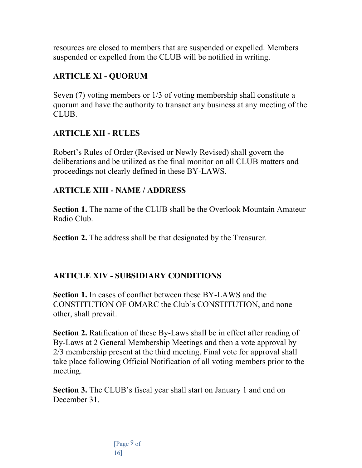resources are closed to members that are suspended or expelled. Members suspended or expelled from the CLUB will be notified in writing.

## **ARTICLE XI - QUORUM**

Seven (7) voting members or 1/3 of voting membership shall constitute a quorum and have the authority to transact any business at any meeting of the CLUB.

### **ARTICLE XII - RULES**

Robert's Rules of Order (Revised or Newly Revised) shall govern the deliberations and be utilized as the final monitor on all CLUB matters and proceedings not clearly defined in these BY-LAWS.

## **ARTICLE XIII - NAME / ADDRESS**

**Section 1.** The name of the CLUB shall be the Overlook Mountain Amateur Radio Club.

**Section 2.** The address shall be that designated by the Treasurer.

# **ARTICLE XIV - SUBSIDIARY CONDITIONS**

**Section 1.** In cases of conflict between these BY-LAWS and the CONSTITUTION OF OMARC the Club's CONSTITUTION, and none other, shall prevail.

Section 2. Ratification of these By-Laws shall be in effect after reading of By-Laws at 2 General Membership Meetings and then a vote approval by 2/3 membership present at the third meeting. Final vote for approval shall take place following Official Notification of all voting members prior to the meeting.

**Section 3.** The CLUB's fiscal year shall start on January 1 and end on December 31.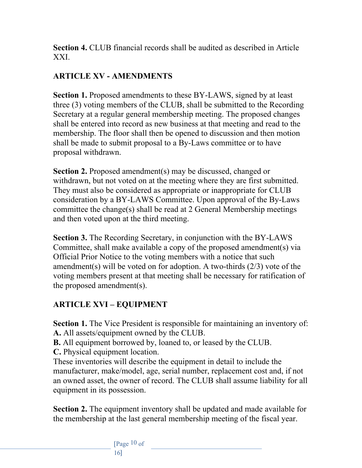**Section 4.** CLUB financial records shall be audited as described in Article XXI.

# **ARTICLE XV - AMENDMENTS**

**Section 1.** Proposed amendments to these BY-LAWS, signed by at least three (3) voting members of the CLUB, shall be submitted to the Recording Secretary at a regular general membership meeting. The proposed changes shall be entered into record as new business at that meeting and read to the membership. The floor shall then be opened to discussion and then motion shall be made to submit proposal to a By-Laws committee or to have proposal withdrawn.

**Section 2.** Proposed amendment(s) may be discussed, changed or withdrawn, but not voted on at the meeting where they are first submitted. They must also be considered as appropriate or inappropriate for CLUB consideration by a BY-LAWS Committee. Upon approval of the By-Laws committee the change(s) shall be read at 2 General Membership meetings and then voted upon at the third meeting.

**Section 3.** The Recording Secretary, in conjunction with the BY-LAWS Committee, shall make available a copy of the proposed amendment(s) via Official Prior Notice to the voting members with a notice that such amendment(s) will be voted on for adoption. A two-thirds (2/3) vote of the voting members present at that meeting shall be necessary for ratification of the proposed amendment(s).

# **ARTICLE XVI – EQUIPMENT**

**Section 1.** The Vice President is responsible for maintaining an inventory of: **A.** All assets/equipment owned by the CLUB.

**B.** All equipment borrowed by, loaned to, or leased by the CLUB.

**C.** Physical equipment location.

These inventories will describe the equipment in detail to include the manufacturer, make/model, age, serial number, replacement cost and, if not an owned asset, the owner of record. The CLUB shall assume liability for all equipment in its possession.

**Section 2.** The equipment inventory shall be updated and made available for the membership at the last general membership meeting of the fiscal year.

> [Page 10 of 16]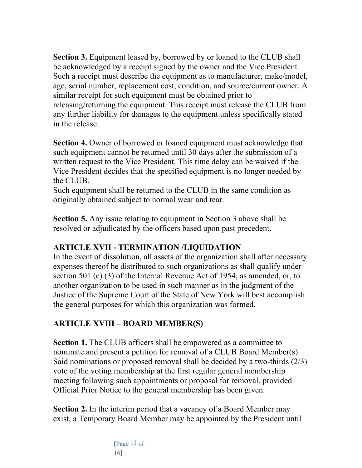**Section 3.** Equipment leased by, borrowed by or loaned to the CLUB shall be acknowledged by a receipt signed by the owner and the Vice President. Such a receipt must describe the equipment as to manufacturer, make/model, age, serial number, replacement cost, condition, and source/current owner. A similar receipt for such equipment must be obtained prior to releasing/returning the equipment. This receipt must release the CLUB from any further liability for damages to the equipment unless specifically stated in the release.

**Section 4.** Owner of borrowed or loaned equipment must acknowledge that such equipment cannot be returned until 30 days after the submission of a written request to the Vice President. This time delay can be waived if the Vice President decides that the specified equipment is no longer needed by the CLUB.

Such equipment shall be returned to the CLUB in the same condition as originally obtained subject to normal wear and tear.

**Section 5.** Any issue relating to equipment in Section 3 above shall be resolved or adjudicated by the officers based upon past precedent.

# **ARTICLE XVII - TERMINATION /LIQUIDATION**

In the event of dissolution, all assets of the organization shall after necessary expenses thereof be distributed to such organizations as shall qualify under section 501 (c) (3) of the Internal Revenue Act of 1954, as amended, or, to another organization to be used in such manner as in the judgment of the Justice of the Supreme Court of the State of New York will best accomplish the general purposes for which this organization was formed.

# **ARTICLE XVIII – BOARD MEMBER(S)**

**Section 1.** The CLUB officers shall be empowered as a committee to nominate and present a petition for removal of a CLUB Board Member(s). Said nominations or proposed removal shall be decided by a two-thirds (2/3) vote of the voting membership at the first regular general membership meeting following such appointments or proposal for removal, provided Official Prior Notice to the general membership has been given.

**Section 2.** In the interim period that a vacancy of a Board Member may exist, a Temporary Board Member may be appointed by the President until

> [Page 11 of 16]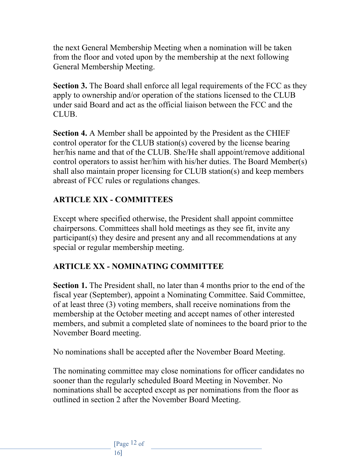the next General Membership Meeting when a nomination will be taken from the floor and voted upon by the membership at the next following General Membership Meeting.

**Section 3.** The Board shall enforce all legal requirements of the FCC as they apply to ownership and/or operation of the stations licensed to the CLUB under said Board and act as the official liaison between the FCC and the CLUB.

**Section 4.** A Member shall be appointed by the President as the CHIEF control operator for the CLUB station(s) covered by the license bearing her/his name and that of the CLUB. She/He shall appoint/remove additional control operators to assist her/him with his/her duties. The Board Member(s) shall also maintain proper licensing for CLUB station(s) and keep members abreast of FCC rules or regulations changes.

# **ARTICLE XIX - COMMITTEES**

Except where specified otherwise, the President shall appoint committee chairpersons. Committees shall hold meetings as they see fit, invite any participant(s) they desire and present any and all recommendations at any special or regular membership meeting.

### **ARTICLE XX - NOMINATING COMMITTEE**

**Section 1.** The President shall, no later than 4 months prior to the end of the fiscal year (September), appoint a Nominating Committee. Said Committee, of at least three (3) voting members, shall receive nominations from the membership at the October meeting and accept names of other interested members, and submit a completed slate of nominees to the board prior to the November Board meeting.

No nominations shall be accepted after the November Board Meeting.

The nominating committee may close nominations for officer candidates no sooner than the regularly scheduled Board Meeting in November. No nominations shall be accepted except as per nominations from the floor as outlined in section 2 after the November Board Meeting.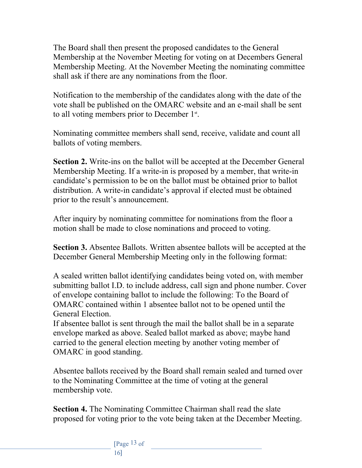The Board shall then present the proposed candidates to the General Membership at the November Meeting for voting on at Decembers General Membership Meeting. At the November Meeting the nominating committee shall ask if there are any nominations from the floor.

Notification to the membership of the candidates along with the date of the vote shall be published on the OMARC website and an e-mail shall be sent to all voting members prior to December  $1<sup>st</sup>$ .

Nominating committee members shall send, receive, validate and count all ballots of voting members.

**Section 2.** Write-ins on the ballot will be accepted at the December General Membership Meeting. If a write-in is proposed by a member, that write-in candidate's permission to be on the ballot must be obtained prior to ballot distribution. A write-in candidate's approval if elected must be obtained prior to the result's announcement.

After inquiry by nominating committee for nominations from the floor a motion shall be made to close nominations and proceed to voting.

**Section 3.** Absentee Ballots. Written absentee ballots will be accepted at the December General Membership Meeting only in the following format:

A sealed written ballot identifying candidates being voted on, with member submitting ballot I.D. to include address, call sign and phone number. Cover of envelope containing ballot to include the following: To the Board of OMARC contained within 1 absentee ballot not to be opened until the General Election.

If absentee ballot is sent through the mail the ballot shall be in a separate envelope marked as above. Sealed ballot marked as above; maybe hand carried to the general election meeting by another voting member of OMARC in good standing.

Absentee ballots received by the Board shall remain sealed and turned over to the Nominating Committee at the time of voting at the general membership vote.

**Section 4.** The Nominating Committee Chairman shall read the slate proposed for voting prior to the vote being taken at the December Meeting.

> [Page 13 of 16]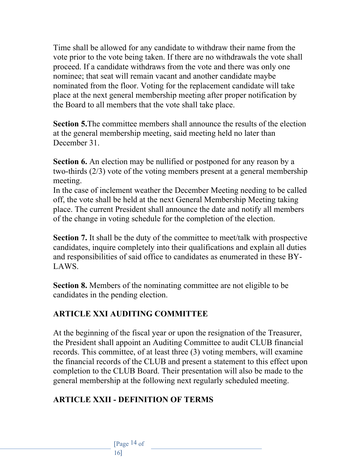Time shall be allowed for any candidate to withdraw their name from the vote prior to the vote being taken. If there are no withdrawals the vote shall proceed. If a candidate withdraws from the vote and there was only one nominee; that seat will remain vacant and another candidate maybe nominated from the floor. Voting for the replacement candidate will take place at the next general membership meeting after proper notification by the Board to all members that the vote shall take place.

**Section 5.**The committee members shall announce the results of the election at the general membership meeting, said meeting held no later than December 31.

**Section 6.** An election may be nullified or postponed for any reason by a two-thirds (2/3) vote of the voting members present at a general membership meeting.

In the case of inclement weather the December Meeting needing to be called off, the vote shall be held at the next General Membership Meeting taking place. The current President shall announce the date and notify all members of the change in voting schedule for the completion of the election.

**Section 7.** It shall be the duty of the committee to meet/talk with prospective candidates, inquire completely into their qualifications and explain all duties and responsibilities of said office to candidates as enumerated in these BY-LAWS.

**Section 8.** Members of the nominating committee are not eligible to be candidates in the pending election.

### **ARTICLE XXI AUDITING COMMITTEE**

At the beginning of the fiscal year or upon the resignation of the Treasurer, the President shall appoint an Auditing Committee to audit CLUB financial records. This committee, of at least three (3) voting members, will examine the financial records of the CLUB and present a statement to this effect upon completion to the CLUB Board. Their presentation will also be made to the general membership at the following next regularly scheduled meeting.

# **ARTICLE XXII - DEFINITION OF TERMS**

[Page 14 of 16]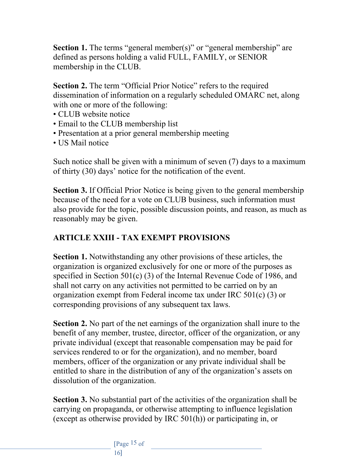**Section 1.** The terms "general member(s)" or "general membership" are defined as persons holding a valid FULL, FAMILY, or SENIOR membership in the CLUB.

**Section 2.** The term "Official Prior Notice" refers to the required dissemination of information on a regularly scheduled OMARC net, along with one or more of the following:

- CLUB website notice
- Email to the CLUB membership list
- Presentation at a prior general membership meeting
- US Mail notice

Such notice shall be given with a minimum of seven (7) days to a maximum of thirty (30) days' notice for the notification of the event.

**Section 3.** If Official Prior Notice is being given to the general membership because of the need for a vote on CLUB business, such information must also provide for the topic, possible discussion points, and reason, as much as reasonably may be given.

## **ARTICLE XXIII - TAX EXEMPT PROVISIONS**

**Section 1.** Notwithstanding any other provisions of these articles, the organization is organized exclusively for one or more of the purposes as specified in Section 501(c) (3) of the Internal Revenue Code of 1986, and shall not carry on any activities not permitted to be carried on by an organization exempt from Federal income tax under IRC 501(c) (3) or corresponding provisions of any subsequent tax laws.

**Section 2.** No part of the net earnings of the organization shall inure to the benefit of any member, trustee, director, officer of the organization, or any private individual (except that reasonable compensation may be paid for services rendered to or for the organization), and no member, board members, officer of the organization or any private individual shall be entitled to share in the distribution of any of the organization's assets on dissolution of the organization.

**Section 3.** No substantial part of the activities of the organization shall be carrying on propaganda, or otherwise attempting to influence legislation (except as otherwise provided by IRC 501(h)) or participating in, or

> [Page 15 of 16]